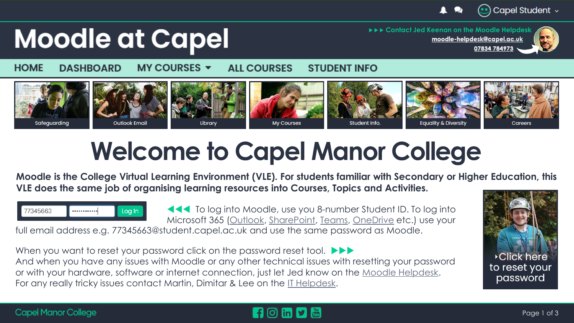

07834 784973

## **Moodle at Capel**

**[moodle-helpdesk@capel.ac.uk](mailto:moodle-helpdesk@capel.ac.uk?subject=Hello%20Jed) Contact Jed Keenan on the Moodle Hel[pdesk](mailto:moodle-helpdesk@capel.ac.uk?subject=Hello%20Jed)**



**HOME** MY COURSES  $\blacktriangledown$ **DASHBOARD ALL COURSES STUDENT INFO** 



# **Welcome to Capel Manor College**

**Moodle is the College Virtual Learning Environment (VLE). For students familiar with Secondary or Higher Education, this VLE does the same job of organising learning resources into Courses, Topics and Activities.**



**To log into Moodle, use you 8-number Student ID. To log into** Microsoft 365 [\(Outlook,](http://email.capel.ac.uk/) [SharePoint](https://capel.sharepoint.com/sites/moodleatcapel_studentinfo), [Teams,](https://teams.microsoft.com/_#/?lm=deeplink&lmsrc=officeWaffle) [OneDrive](https://capel-my.sharepoint.com/) etc.) use your

full email address e.g. 77345663@student.capel.ac.uk and use the same password as Moodle.

When you want to reset your password click on the password reset tool.  $\blacktriangleright\blacktriangleright\blacktriangleright$ And when you have any issues with Moodle or any other technical issues with resetting your password or with your hardware, software or internet connection, just let Jed know on the [Moodle Helpdesk](mailto:moodle-helpdesk@capel.ac.uk?subject=HELLO JED!). For any really tricky issues contact Martin, Dimitar & Lee on the [IT Helpdesk.](mailto:it-helpdesk@capel.ac.uk)



#### **Capel Manor College**

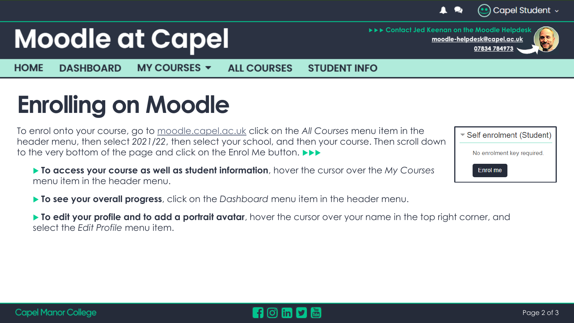

# **Moodle at Capel**

 **Contact Jed Keenan on the Moodle Hel[pdesk](mailto:moodle-helpdesk@capel.ac.uk?subject=Hello%20Jed) [moodle-helpdesk@capel.ac.uk](mailto:moodle-helpdesk@capel.ac.uk?subject=Hello%20Jed)** 07834 784973

**HOME** MY COURSES  $\blacktriangledown$ **DASHBOARD ALL COURSES STUDENT INFO** 

### **Enrolling on Moodle**

To enrol onto your course, go to [moodle.capel.ac.uk](https://moodle.capel.ac.uk/) click on the *All Courses* menu item in the header menu, then select *2021/22*, then select your school, and then your course. Then scroll down to the very bottom of the page and click on the Enrol Me button.

- ▶ To access your course as well as student information, hover the cursor over the *My Courses* menu item in the header menu.
- ▼ Self enrolment (Student) No enrolment key required. Enrol me

**To see your overall progress**, click on the *Dashboard* menu item in the header menu.

 **To edit your profile and to add a portrait avatar**, hover the cursor over your name in the top right corner, and select the *Edit Profile* menu item.